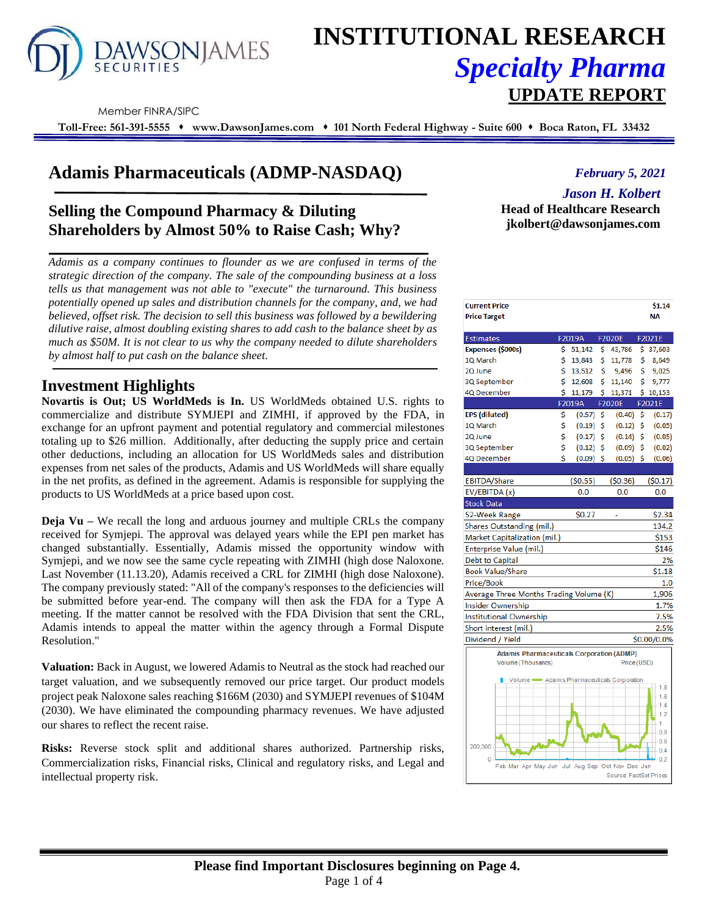

# **INSTITUTIONAL RESEARCH** *Specialty Pharma*  **UPDATE REPORT**

Member FINRA/SIPC

**Toll-Free: 561-391-5555** ⬧ **www.DawsonJames.com** ⬧ **101 North Federal Highway - Suite 600** ⬧ **Boca Raton, FL 33432**

# **Adamis Pharmaceuticals (ADMP-NASDAQ)**

## **Selling the Compound Pharmacy & Diluting Shareholders by Almost 50% to Raise Cash; Why?**

*Adamis as a company continues to flounder as we are confused in terms of the strategic direction of the company. The sale of the compounding business at a loss tells us that management was not able to "execute" the turnaround. This business potentially opened up sales and distribution channels for the company, and, we had believed, offset risk. The decision to sell this business was followed by a bewildering dilutive raise, almost doubling existing shares to add cash to the balance sheet by as much as \$50M. It is not clear to us why the company needed to dilute shareholders by almost half to put cash on the balance sheet.*

## **Investment Highlights**

**Novartis is Out; US WorldMeds is In.** US WorldMeds obtained U.S. rights to commercialize and distribute SYMJEPI and ZIMHI, if approved by the FDA, in exchange for an upfront payment and potential regulatory and commercial milestones totaling up to \$26 million. Additionally, after deducting the supply price and certain other deductions, including an allocation for US WorldMeds sales and distribution expenses from net sales of the products, Adamis and US WorldMeds will share equally in the net profits, as defined in the agreement. Adamis is responsible for supplying the products to US WorldMeds at a price based upon cost.

**Deja Vu** – We recall the long and arduous journey and multiple CRLs the company received for Symjepi. The approval was delayed years while the EPI pen market has changed substantially. Essentially, Adamis missed the opportunity window with Symjepi, and we now see the same cycle repeating with ZIMHI (high dose Naloxone. Last November (11.13.20), Adamis received a CRL for ZIMHI (high dose Naloxone). The company previously stated: "All of the company's responses to the deficiencies will be submitted before year-end. The company will then ask the FDA for a Type A meeting. If the matter cannot be resolved with the FDA Division that sent the CRL, Adamis intends to appeal the matter within the agency through a Formal Dispute Resolution."

**Valuation:** Back in August, we lowered Adamis to Neutral as the stock had reached our target valuation, and we subsequently removed our price target. Our product models project peak Naloxone sales reaching \$166M (2030) and SYMJEPI revenues of \$104M (2030). We have eliminated the compounding pharmacy revenues. We have adjusted our shares to reflect the recent raise.

**Risks:** Reverse stock split and additional shares authorized. Partnership risks, Commercialization risks, Financial risks, Clinical and regulatory risks, and Legal and intellectual property risk.

## *February 5, 2021*

## *Jason H. Kolbert*

**Head of Healthcare Research jkolbert@dawsonjames.com**

| <b>Current Price</b><br><b>Price Target</b>      |    |             |     |             |    | \$1.14<br>NА |
|--------------------------------------------------|----|-------------|-----|-------------|----|--------------|
| <b>Estimates</b>                                 |    | F2019A      |     | F2020E      |    | F2021E       |
| Expenses (\$000s)                                | \$ | 51,142      | \$  | 43,786      |    | \$37,603     |
| 1Q March                                         | \$ | 13,843      | \$  | 11,778      | \$ | 8,649        |
| 20 June                                          | \$ | 13,512      | \$  | 9,496       | \$ | 9,025        |
| 3Q September                                     | Ś  | 12,608      | Ś   | 11,140      | Ś  | 9,777        |
| 4Q December                                      | Ś  | 11,179      | Ś   | 11,371      |    | \$10,153     |
|                                                  |    | F2019A      |     | F2020E      |    | F2021E       |
| <b>EPS</b> (diluted)                             | \$ | (0.57)      | -\$ | (0.40)      | \$ | (0.17)       |
| 10 March                                         | \$ | $(0.19)$ \$ |     | $(0.12)$ \$ |    | (0.05)       |
| 2Q June                                          | \$ | (0.17)      | Ś   | (0.14)      | \$ | (0.05)       |
| 3Q September                                     | \$ | (0.12)      | Ś   | (0.09)      | Ś  | (0.02)       |
| 4Q December                                      | Ś  | (0.09)      | Ś   | (0.05)      | Ś  | (0.06)       |
|                                                  |    |             |     |             |    |              |
| EBITDA/Share                                     |    | (50.55)     |     | (50.36)     |    | (50.17)      |
| EV/EBITDA (x)                                    |    | 0.0         |     | 0.0         |    | 0.0          |
| <b>Stock Data</b>                                |    |             |     |             |    |              |
| 52-Week Range                                    |    | \$0.27      |     |             |    | \$2.34       |
| Shares Outstanding (mil.)                        |    |             |     |             |    | 134.2        |
| Market Capitalization (mil.)                     |    |             |     |             |    | \$153        |
| <b>Enterprise Value (mil.)</b>                   |    |             |     |             |    | \$146        |
| Debt to Capital                                  |    |             |     |             |    | 2%           |
| <b>Book Value/Share</b>                          |    |             |     |             |    | \$1.18       |
| Price/Book                                       |    |             |     |             |    | 1.0          |
| Average Three Months Trading Volume (K)          |    |             |     |             |    | 1,906        |
| <b>Insider Ownership</b>                         |    |             |     |             |    | 1.7%         |
| <b>Institutional Ownership</b>                   |    |             |     |             |    | 7.5%         |
| Short interest (mil.)                            |    |             |     |             |    | 2.5%         |
| Dividend / Yield                                 |    |             |     |             |    | \$0.00/0.0%  |
| <b>Adamis Pharmaceuticals Corporation (ADMP)</b> |    |             |     |             |    |              |
| Volume (Thousands)                               |    |             |     | Price (USD) |    |              |
|                                                  |    |             |     |             |    |              |
| Volume <a>Adamis Pharmaceuticals Corporation</a> |    |             |     |             |    | $-1.8$       |
|                                                  |    |             |     |             |    | 1.6          |
|                                                  |    |             |     |             |    | 1.4          |
|                                                  |    |             |     |             |    | 1.2<br>1     |
|                                                  |    |             |     |             |    |              |

May Jun Jul

 $0.4$  $0.2$ 

Source: FactSet Pr

200,000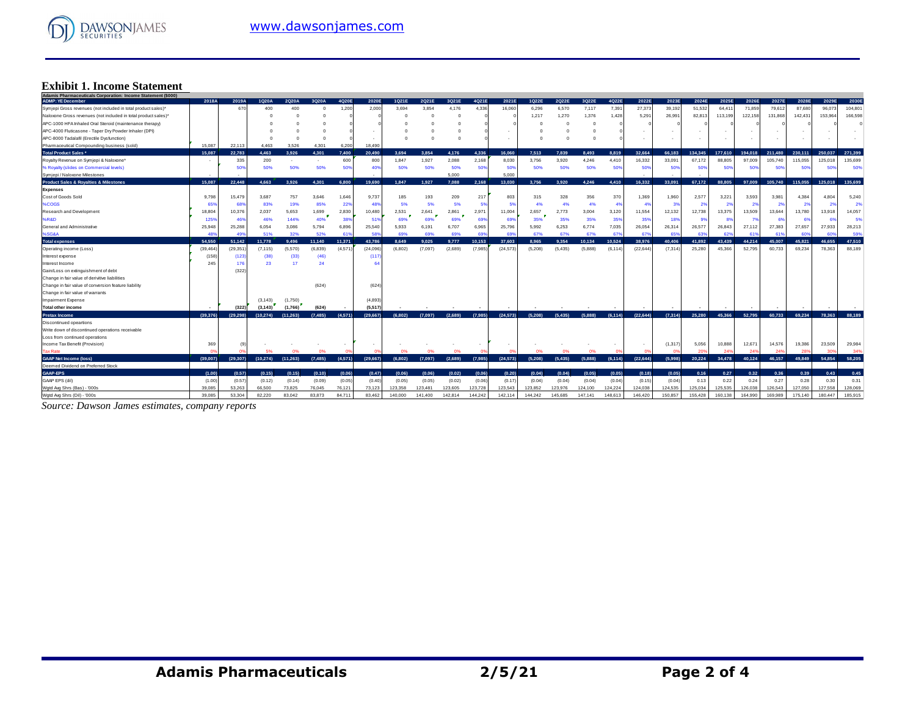

## **Exhibit 1. Income Statement**

| Adamis Pharmaceuticals Corporation: Income Statement (\$000)   |           |           |           |           |          |         |           |         |         |         |         |           |          |          |         |          |           |         |         |         |         |         |         |         |         |
|----------------------------------------------------------------|-----------|-----------|-----------|-----------|----------|---------|-----------|---------|---------|---------|---------|-----------|----------|----------|---------|----------|-----------|---------|---------|---------|---------|---------|---------|---------|---------|
| <b>ADMP: YE December</b>                                       | 2018A     | 2019A     | 1Q20A     | 2Q20A     | 3Q20A    | 4Q20E   | 2020E     | 1Q21E   | 2Q21E   | 3Q21E   | 4Q21E   | 2021E     | 1Q22E    | 2Q22E    | 3Q22E   | 4Q22E    | 2022E     | 2023E   | 2024E   | 2025E   | 2026E   | 2027E   | 2028E   | 2029E   | 2030E   |
| Symjepi Gross revenues (not included in total product sales)*  |           | 670       | 400       | 400       |          | 1,200   | 2,000     | 3,694   | 3.854   | 4.176   | 4,336   | 16,060    | 6,296    | 6,570    | 7,117   | 7,391    | 27,373    | 39,192  | 51,532  | 64,41   | 71,859  | 79,612  | 87,680  | 96,073  | 104,801 |
| Naloxone Gross revenues (not included in total product sales)* |           |           |           |           |          |         |           |         |         |         |         |           | 1,217    | 1,270    | 1,376   | 1,428    | 5,291     | 26,99   | 82,81   | 113,199 | 122,158 | 131,868 | 142,431 | 153,964 | 166,598 |
| APC-1000 HFA Inhaled Oral Steroid (maintenance therapy)        |           |           |           |           |          |         |           |         |         |         |         |           |          |          |         |          |           |         |         |         |         |         |         |         |         |
| APC-4000 Fluticasone - Taper Dry Powder Inhaler (DPI)          |           |           |           |           |          |         |           |         |         |         |         |           |          |          |         |          |           |         |         |         |         |         |         |         |         |
| APC-8000 Tadalafil (Erectile Dysfunction)                      |           |           |           |           |          |         |           |         |         |         |         |           |          |          |         |          |           |         |         |         |         |         |         |         |         |
| Pharmaceutical Compounding business (sold)                     | 15.087    | 22.113    | 4.463     | 3.526     | 4.301    | 6,200   | 18,490    |         |         |         |         |           |          |          |         |          |           |         |         |         |         |         |         |         |         |
| <b>Total Product Sales *</b>                                   | 15.087    | 22.783    | 4.463     | 3.926     | 4.301    | 7.400   | 20,490    | 3.694   | 3.854   | 4.176   | 4.336   | 16.060    | 7.513    | 7.839    | 8.493   | 8.819    | 32.664    | 66.183  | 134.345 | 177.610 | 194.018 | 211,480 | 230.111 | 250.037 | 271.399 |
| Royalty Revenue on Symjepi & Naloxone*                         |           | 335       | 200       |           |          | 600     | 800       | 1.847   | 1,927   | 2.088   | 2.168   | 8,030     | 3.756    | 3.920    | 4.246   | 4.410    | 16,332    | 33,091  | 67.172  | 88,805  | 97.009  | 105,740 | 115.055 | 125.018 | 135,699 |
| % Royalty (slides on Commercial levels)                        |           | 50%       | 50%       | 50%       | 50%      | 50%     | 40        | 50%     | 50%     | 50%     | 50%     | 50%       | 50%      | 50%      | 50%     | 50%      | 50        | 50%     | 50%     | 50%     | 50%     | 50%     | 50%     | 50%     | 50%     |
| Symjepi / Naloxone Milestones                                  |           |           |           |           |          |         |           |         |         | 5.000   |         | 5.000     |          |          |         |          |           |         |         |         |         |         |         |         |         |
| Product Sales & Royalties & Milestones                         | 15.087    | 22.448    | 4.663     | 3.926     | 4.301    | 6.800   | 19,690    | 1.847   | 1.927   | 7.088   | 2.168   | 13.030    | 3.756    | 3.920    | 4.246   | 4,410    | 16.332    | 33.091  | 67,172  | 88,805  | 97,009  | 105.740 | 115,055 | 125,018 | 135,699 |
| <b>Expenses</b>                                                |           |           |           |           |          |         |           |         |         |         |         |           |          |          |         |          |           |         |         |         |         |         |         |         |         |
| Cost of Goods Sold                                             | 9.798     | 15.479    | 3,687     | 757       | 3.646    | 1.646   | 9,737     | 185     | 193     | 209     | 217     | 803       | 315      | 328      | 356     | 370      | 1,369     | 1.960   | 2,577   | 3,221   | 3,593   | 3.981   | 4.384   | 4,804   | 5,240   |
| %COGS                                                          | 65%       | 68%       | 83%       | 19%       | 85%      | 22%     | 48%       | 5%      | 5%      | 5%      | 5%      | 5%        | 4%       | 4%       | 4%      | 4%       |           | -3%     | -29     | 2%      | 2%      | 2%      | 2%      | 29      | 2%      |
| Research and Development                                       | 18.804    | 10,376    | 2,037     | 5,653     | 1,699    | 2,830   | 10,480    | 2,531   | 2,641   | 2,861   | 2,971   | 11,004    | 2,657    | 2,773    | 3,004   | 3,120    | 11,554    | 12,132  | 12,738  | 13,375  | 13,509  | 13,644  | 13,780  | 13,918  | 14,057  |
| %R&D                                                           | 125%      | 46%       | 46%       | 144%      | 40%      | 38%     | 51%       | 69%     | 69%     | 69%     | 69%     | 69%       | 35%      | 35%      | 35%     | 35%      | 35%       | 18%     | -9°     | 83      | 7%      | -61     | 69      | -63     | 5%      |
| General and Administrative                                     | 25.948    | 25,288    | 6.054     | 3,086     | 5.794    | 6,896   | 25,540    | 5.933   | 6.191   | 6.707   | 6.965   | 25,796    | 5.992    | 6,253    | 6.774   | 7.035    | 26,054    | 26.314  | 26,577  | 26,843  | 27,112  | 27,383  | 27,657  | 27,933  | 28,213  |
| %SG&A                                                          | 48%       | 495       | 51%       | 32%       | 52%      | 619     | 58%       | 69%     | 69%     | 69%     | 60      | 69%       | 67%      | 67%      | 67%     | 67%      | 679       | 65%     | 63%     | 62      | 61%     | 613     | 603     | 60%     | 59%     |
| <b>Total expenses</b>                                          | 54.550    | 51.142    | 11.778    | 9.496     | 11.140   | 11.371  | 43.786    | 8.649   | 9.025   | 9.777   | 10.153  | 37.603    | 8.965    | 9.354    | 10.134  | 10.524   | 38.976    | 40.406  | 41.892  | 43.439  | 44.214  | 45.007  | 45.821  | 46.655  | 47.510  |
| Operating income (Loss)                                        | (39, 464) | (29, 351) | (7, 115)  | (5,570)   | (6, 839) | (4.571) | (24, 096) | (6,802) | (7.097) | (2,689) | (7,985) | (24, 573) | (5,208)  | (5, 435) | (5.888) | (6, 114) | (22, 644) | (7.314) | 25,280  | 45,366  | 52,795  | 60,733  | 69,234  | 78,363  | 88,189  |
| Interest expense                                               | (158)     | (123)     | (38)      | (33)      | (46)     |         | (117)     |         |         |         |         |           |          |          |         |          |           |         |         |         |         |         |         |         |         |
| Interest Income                                                | 245       | 176       | 23        | 17        | 24       |         |           |         |         |         |         |           |          |          |         |          |           |         |         |         |         |         |         |         |         |
| Gain/Loss on extinguishment of debt                            |           | (322)     |           |           |          |         |           |         |         |         |         |           |          |          |         |          |           |         |         |         |         |         |         |         |         |
| Change in fair value of derivitive liabilities                 |           |           |           |           |          |         |           |         |         |         |         |           |          |          |         |          |           |         |         |         |         |         |         |         |         |
| Change in fair value of conversion feature liability           |           |           |           |           | (624)    |         | (624)     |         |         |         |         |           |          |          |         |          |           |         |         |         |         |         |         |         |         |
| Change in fair value of warrants                               |           |           |           |           |          |         |           |         |         |         |         |           |          |          |         |          |           |         |         |         |         |         |         |         |         |
| Impairment Expense                                             |           |           | (3, 143)  | (1,750)   |          |         | (4,893)   |         |         |         |         |           |          |          |         |          |           |         |         |         |         |         |         |         |         |
| <b>Total other income</b>                                      |           | (322)     | (3.143)   | (1.766)   | (624)    |         | (5.517)   |         |         |         |         |           |          |          |         |          |           |         |         |         |         |         |         |         |         |
| <b>Pretax Income</b>                                           | (39.376)  | (29.298)  | (10.274)  | (11.263)  | (7.485)  | (4,571) | (29.667)  | (6.802) | (7.097) | (2.689) | (7.985) | (24.573)  | (5.208)  | (5.435)  | (5.888) | (6.114)  | (22.644)  | (7.314) | 25,280  | 45,366  | 52.795  | 60.733  | 69.234  | 78.363  | 88.189  |
| <b>Discontinued opeartions</b>                                 |           |           |           |           |          |         |           |         |         |         |         |           |          |          |         |          |           |         |         |         |         |         |         |         |         |
| Write down of discontinued operations receivable               |           |           |           |           |          |         |           |         |         |         |         |           |          |          |         |          |           |         |         |         |         |         |         |         |         |
| Loss from continued operations                                 |           |           |           |           |          |         |           |         |         |         |         |           |          |          |         |          |           |         |         |         |         |         |         |         |         |
| Income Tax Benefit (Provision)                                 | 369       |           |           |           |          |         |           |         |         |         |         |           |          |          |         |          | $\sim$    | (1.317) | 5,056   | 10,888  | 12,671  | 14,576  | 19,386  | 23,509  | 29,984  |
| <b>Tax Rate</b>                                                | $\Omega$  |           |           | 0%        | n        |         |           | 0%      | 0%      | 0%      |         | n         | 0%       |          | n       |          |           |         |         |         | 249     | 24      |         | 305     | $-349$  |
| <b>GAAP Net Income (loss)</b>                                  | (39.007)  | (29.307)  | (10, 274) | (11, 263) | (7, 485) | (4,571) | (29,667)  | (6,802) | (7,097) | (2,689) | (7,985) | (24, 573) | (5, 208) | (5, 435) | (5.888) | (6, 114) | (22, 644) | (5.998) | 20.224  | 34,478  | 40.124  | 46.157  | 49,849  | 54,854  | 58.205  |
| Deemed Dividend on Preferred Stock                             |           |           |           |           |          |         |           |         |         |         |         |           |          |          |         |          |           |         |         |         |         |         |         |         |         |
| <b>GAAP-EPS</b>                                                | (1.00)    | (0.57)    | (0.15)    | (0.15)    | (0.10)   | (0.06)  | (0.47)    | (0.06)  | (0.06)  | (0.02)  | (0.06)  | (0.20)    | (0.04)   | (0.04)   | (0.05)  | (0.05)   | (0.18)    | (0.05)  | 0.16    | 0.27    | 0.32    | 0.36    | 0.39    | 0.43    | 0.45    |
| GAAP EPS (dil)                                                 | (1.00)    | (0.57)    | (0.12)    | (0.14)    | (0.09)   | (0.05)  | (0.40)    | (0.05)  | (0.05)  | (0.02)  | (0.06)  | (0.17)    | (0.04)   | (0.04)   | (0.04)  | (0.04)   | (0.15)    | (0.04)  | 0.13    | 0.22    | 0.24    | 0.27    | 0.28    | 0.30    | 0.31    |
| Wgtd Avg Shrs (Bas) - '000s                                    | 39,085    | 53.263    | 66,500    | 73,825    | 76,045   | 76.121  | 73.123    | 123.358 | 123.481 | 123.605 | 123,728 | 123,543   | 123,852  | 123.976  | 124.100 | 124.224  | 124.038   | 124.535 | 125.034 | 125,535 | 126.038 | 126,543 | 127.050 | 127.558 | 128,069 |
| Wgtd Avg Shrs (Dil) - '000s                                    | 39,085    | 53,304    | 82.220    | 83.042    | 83,873   | 84.71   | 83.462    | 140,000 | 141.400 | 142.814 | 144.242 | 142.114   | 144,242  | 145,685  | 147.141 | 148,613  | 146,420   | 150,857 | 155.428 | 160.138 | 164,990 | 169,989 | 175,140 | 180 447 | 185,915 |
|                                                                |           |           |           |           |          |         |           |         |         |         |         |           |          |          |         |          |           |         |         |         |         |         |         |         |         |

*Source: Dawson James estimates, company reports*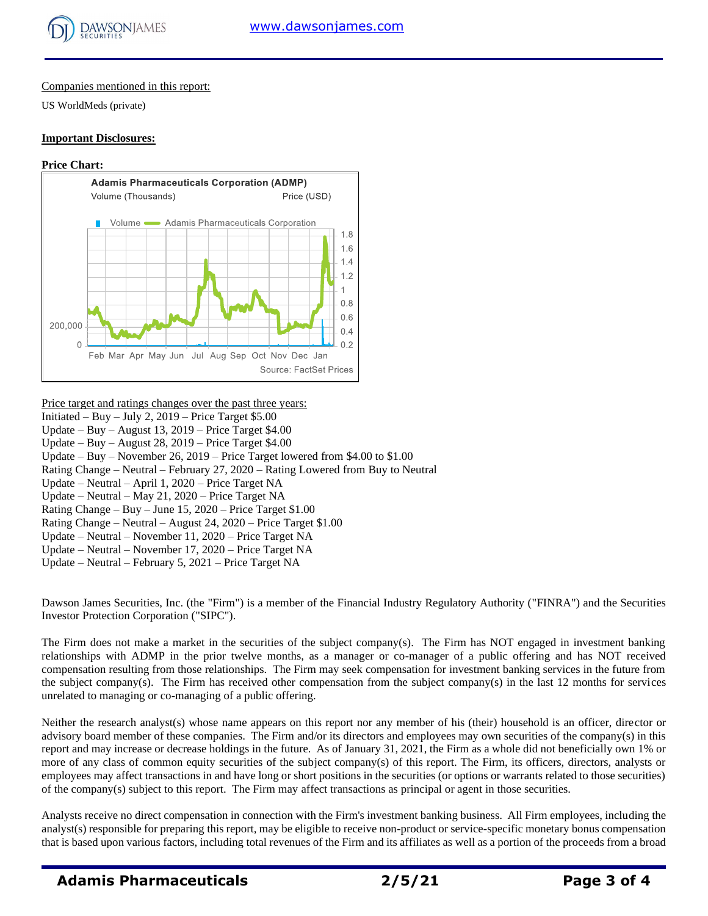

Companies mentioned in this report:

US WorldMeds (private)

#### **Important Disclosures:**

#### **Price Chart:**



#### Price target and ratings changes over the past three years:

- Initiated Buy July 2,  $2019$  Price Target \$5.00
- Update Buy August 13, 2019 Price Target \$4.00
- Update Buy August 28, 2019 Price Target \$4.00
- Update Buy November 26, 2019 Price Target lowered from \$4.00 to \$1.00
- Rating Change Neutral February 27, 2020 Rating Lowered from Buy to Neutral
- Update Neutral April 1, 2020 Price Target NA
- Update Neutral May 21, 2020 Price Target NA
- Rating Change Buy June 15, 2020 Price Target \$1.00
- Rating Change Neutral August 24, 2020 Price Target \$1.00
- Update Neutral November 11, 2020 Price Target NA
- Update Neutral November 17, 2020 Price Target NA
- Update Neutral February 5, 2021 Price Target NA

Dawson James Securities, Inc. (the "Firm") is a member of the Financial Industry Regulatory Authority ("FINRA") and the Securities Investor Protection Corporation ("SIPC").

The Firm does not make a market in the securities of the subject company(s). The Firm has NOT engaged in investment banking relationships with ADMP in the prior twelve months, as a manager or co-manager of a public offering and has NOT received compensation resulting from those relationships. The Firm may seek compensation for investment banking services in the future from the subject company(s). The Firm has received other compensation from the subject company(s) in the last 12 months for services unrelated to managing or co-managing of a public offering.

Neither the research analyst(s) whose name appears on this report nor any member of his (their) household is an officer, director or advisory board member of these companies. The Firm and/or its directors and employees may own securities of the company(s) in this report and may increase or decrease holdings in the future. As of January 31, 2021, the Firm as a whole did not beneficially own 1% or more of any class of common equity securities of the subject company(s) of this report. The Firm, its officers, directors, analysts or employees may affect transactions in and have long or short positions in the securities (or options or warrants related to those securities) of the company(s) subject to this report. The Firm may affect transactions as principal or agent in those securities.

Analysts receive no direct compensation in connection with the Firm's investment banking business. All Firm employees, including the analyst(s) responsible for preparing this report, may be eligible to receive non-product or service-specific monetary bonus compensation that is based upon various factors, including total revenues of the Firm and its affiliates as well as a portion of the proceeds from a broad